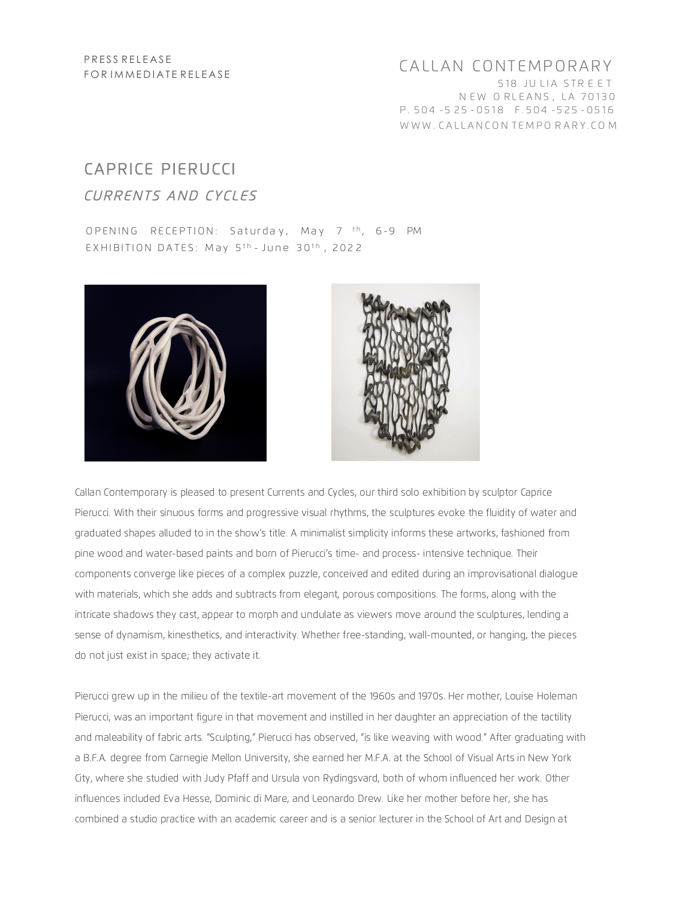## CALLAN CONTEMPORARY 518 JULIA STREET NEW ORLEANS, LA 70130 P.504-525-0518 F.504-525-0516 WWW.CALLANCONTEMPORARY.COM

## **CAPRICE PIERUCCI** CURRENTS AND CYCLES

OPENING RECEPTION: Saturday, May 7 <sup>th</sup>, 6-9 PM EXHIBITION DATES: May 5<sup>th</sup> - June 30<sup>th</sup>, 2022





Callan Contemporary is pleased to present Currents and Cycles, our third solo exhibition by sculptor Caprice Pierucci. With their sinuous forms and progressive visual rhythms, the sculptures evoke the fluidity of water and graduated shapes alluded to in the show's title. A minimalist simplicity informs these artworks, fashioned from pine wood and water-based paints and born of Pierucci's time- and process- intensive technique. Their components converge like pieces of a complex puzzle, conceived and edited during an improvisational dialogue with materials, which she adds and subtracts from elegant, porous compositions. The forms, along with the intricate shadows they cast, appear to morph and undulate as viewers move around the sculptures, lending a sense of dynamism, kinesthetics, and interactivity. Whether free-standing, wall-mounted, or hanging, the pieces do not just exist in space; they activate it.

Pierucci grew up in the milieu of the textile-art movement of the 1960s and 1970s. Her mother, Louise Holeman Pierucci, was an important figure in that movement and instilled in her daughter an appreciation of the tactility and maleability of fabric arts. "Sculpting," Pierucci has observed, "is like weaving with wood." After graduating with a B.F.A. degree from Carnegie Mellon University, she earned her M.F.A. at the School of Visual Arts in New York City, where she studied with Judy Pfaff and Ursula von Rydingsvard, both of whom influenced her work. Other influences included Eva Hesse, Dominic di Mare, and Leonardo Drew. Like her mother before her, she has combined a studio practice with an academic career and is a senior lecturer in the School of Art and Design at